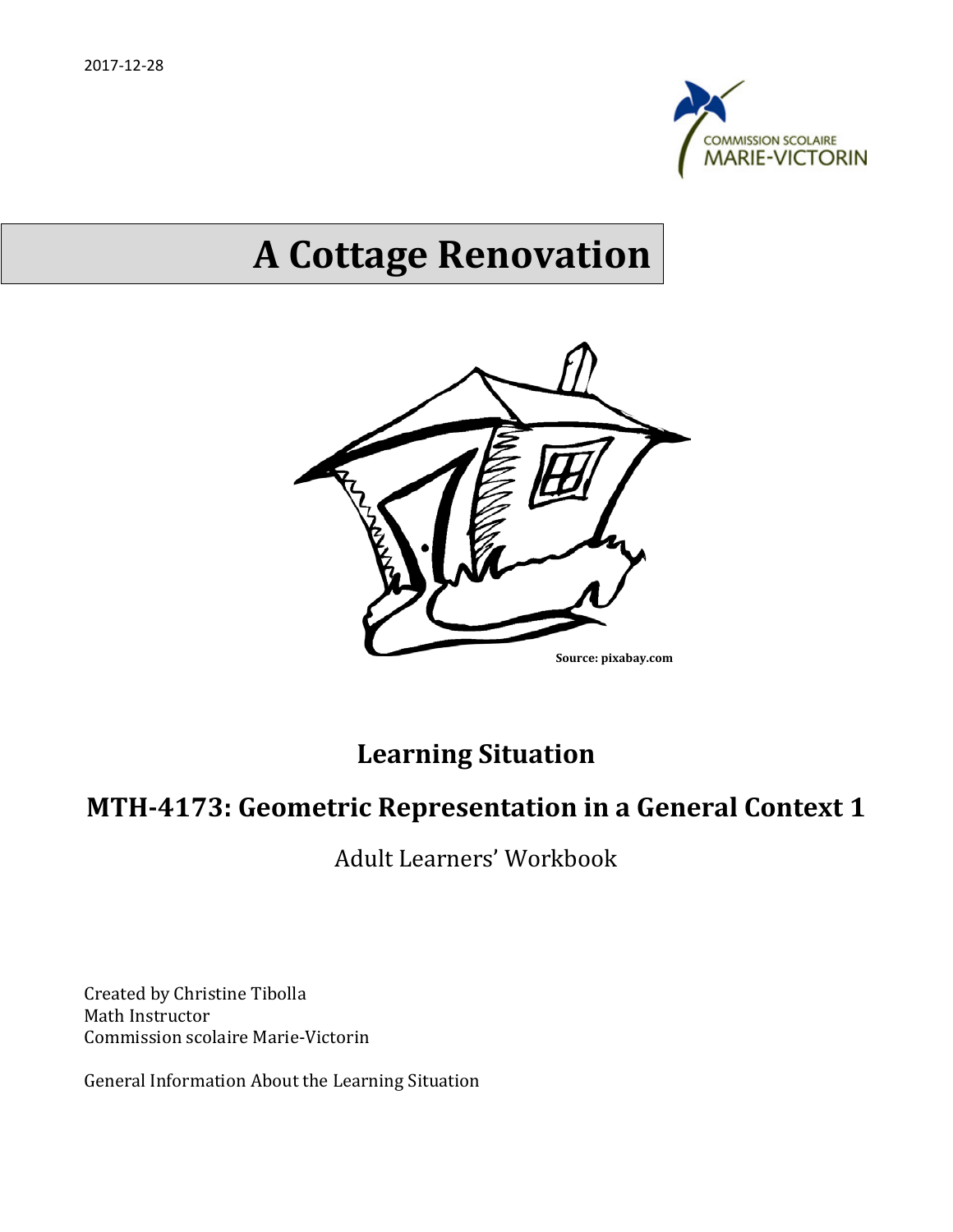

# **A Cottage Renovation**



# **Learning Situation**

# **MTH-4173: Geometric Representation in a General Context 1**

Adult Learners' Workbook

Created by Christine Tibolla Math Instructor Commission scolaire Marie-Victorin

General Information About the Learning Situation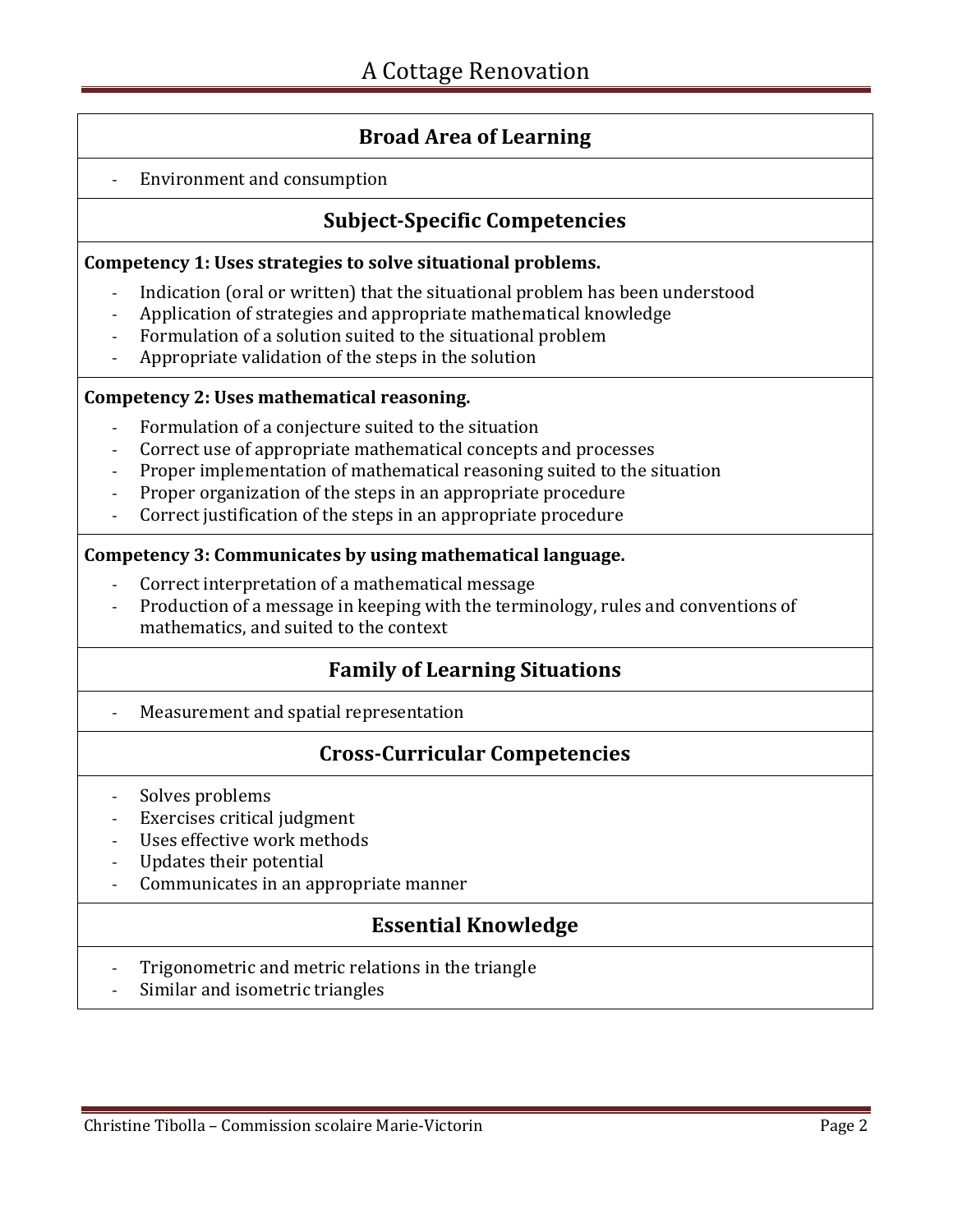### **Broad Area of Learning**

#### - Environment and consumption

### **Subject-Specific Competencies**

#### **Competency 1: Uses strategies to solve situational problems.**

- Indication (oral or written) that the situational problem has been understood
- Application of strategies and appropriate mathematical knowledge
- Formulation of a solution suited to the situational problem
- Appropriate validation of the steps in the solution

#### **Competency 2: Uses mathematical reasoning.**

- Formulation of a conjecture suited to the situation
- Correct use of appropriate mathematical concepts and processes
- Proper implementation of mathematical reasoning suited to the situation
- Proper organization of the steps in an appropriate procedure
- Correct justification of the steps in an appropriate procedure

#### **Competency 3: Communicates by using mathematical language.**

- Correct interpretation of a mathematical message
- Production of a message in keeping with the terminology, rules and conventions of mathematics, and suited to the context

### **Family of Learning Situations**

Measurement and spatial representation

### **Cross-Curricular Competencies**

- Solves problems
- Exercises critical judgment
- Uses effective work methods
- Updates their potential
- Communicates in an appropriate manner

### **Essential Knowledge**

- Trigonometric and metric relations in the triangle
- Similar and isometric triangles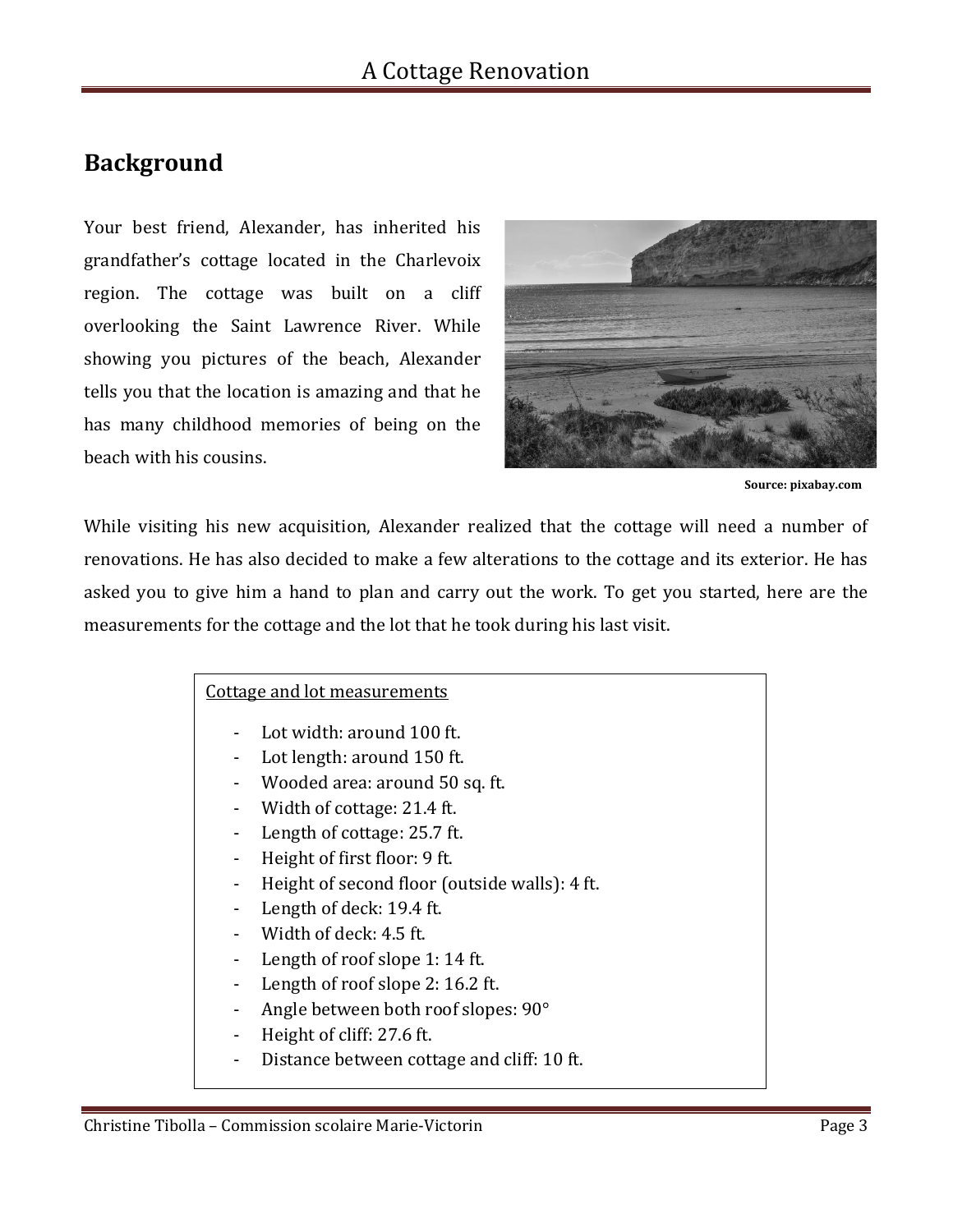# **Background**

Your best friend, Alexander, has inherited his grandfather's cottage located in the Charlevoix region. The cottage was built on a cliff overlooking the Saint Lawrence River. While showing you pictures of the beach, Alexander tells you that the location is amazing and that he has many childhood memories of being on the beach with his cousins.



 **Source: pixabay.com**

While visiting his new acquisition, Alexander realized that the cottage will need a number of renovations. He has also decided to make a few alterations to the cottage and its exterior. He has asked you to give him a hand to plan and carry out the work. To get you started, here are the measurements for the cottage and the lot that he took during his last visit.

#### Cottage and lot measurements

- Lot width: around 100 ft.
- Lot length: around 150 ft.
- Wooded area: around 50 sq. ft.
- Width of cottage: 21.4 ft.
- Length of cottage: 25.7 ft.
- Height of first floor: 9 ft.
- Height of second floor (outside walls): 4 ft.
- Length of deck: 19.4 ft.
- Width of deck: 4.5 ft.
- Length of roof slope 1: 14 ft.
- Length of roof slope 2: 16.2 ft.
- Angle between both roof slopes: 90°
- Height of cliff: 27.6 ft.
- Distance between cottage and cliff: 10 ft.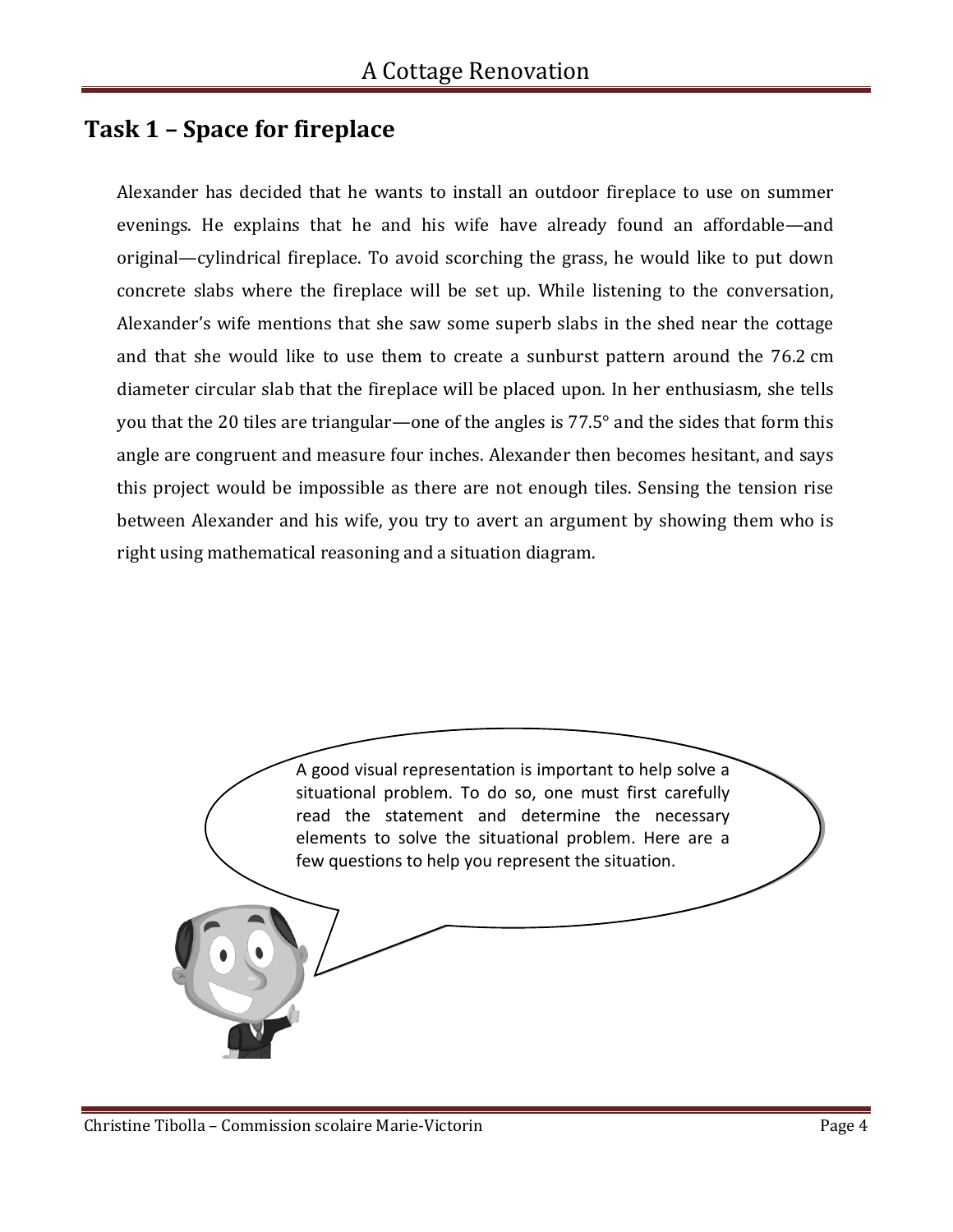# **Task 1 – Space for fireplace**

Alexander has decided that he wants to install an outdoor fireplace to use on summer evenings. He explains that he and his wife have already found an affordable—and original—cylindrical fireplace. To avoid scorching the grass, he would like to put down concrete slabs where the fireplace will be set up. While listening to the conversation, Alexander's wife mentions that she saw some superb slabs in the shed near the cottage and that she would like to use them to create a sunburst pattern around the 76.2 cm diameter circular slab that the fireplace will be placed upon. In her enthusiasm, she tells you that the 20 tiles are triangular—one of the angles is 77.5° and the sides that form this angle are congruent and measure four inches. Alexander then becomes hesitant, and says this project would be impossible as there are not enough tiles. Sensing the tension rise between Alexander and his wife, you try to avert an argument by showing them who is right using mathematical reasoning and a situation diagram.

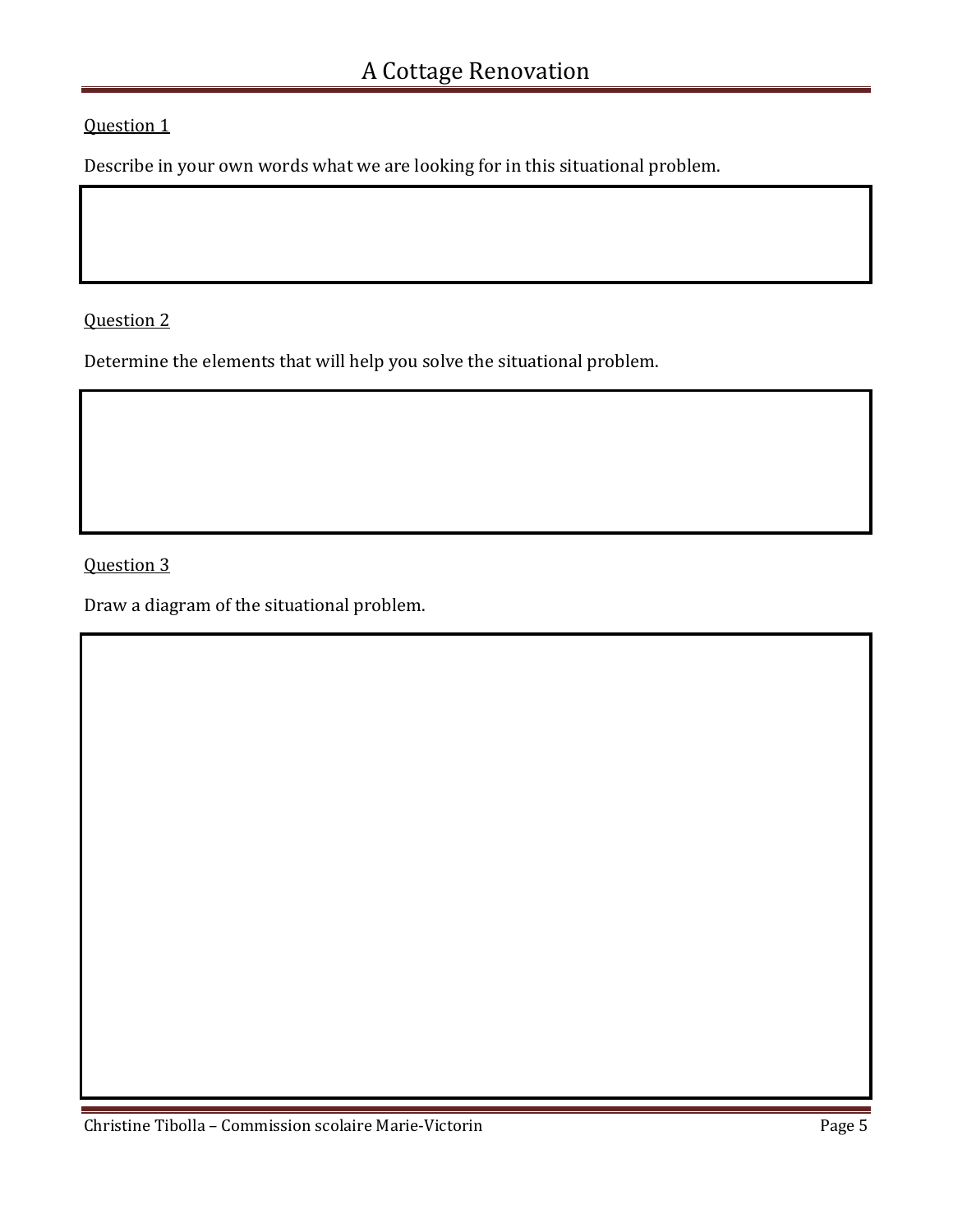Question 1

Describe in your own words what we are looking for in this situational problem.

Question 2

Determine the elements that will help you solve the situational problem.

Question 3

Draw a diagram of the situational problem.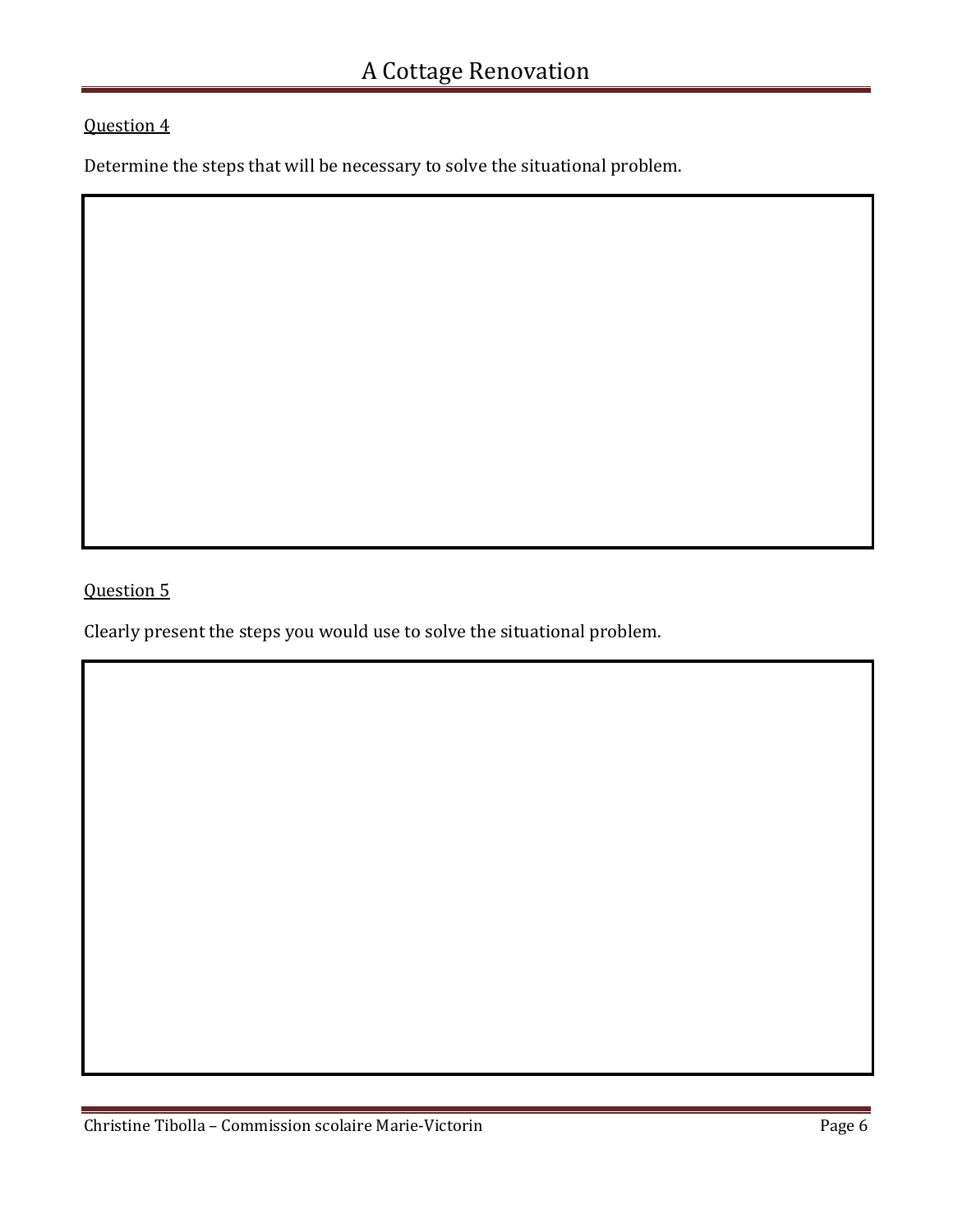### Question 4

Determine the steps that will be necessary to solve the situational problem.

Question 5

Clearly present the steps you would use to solve the situational problem.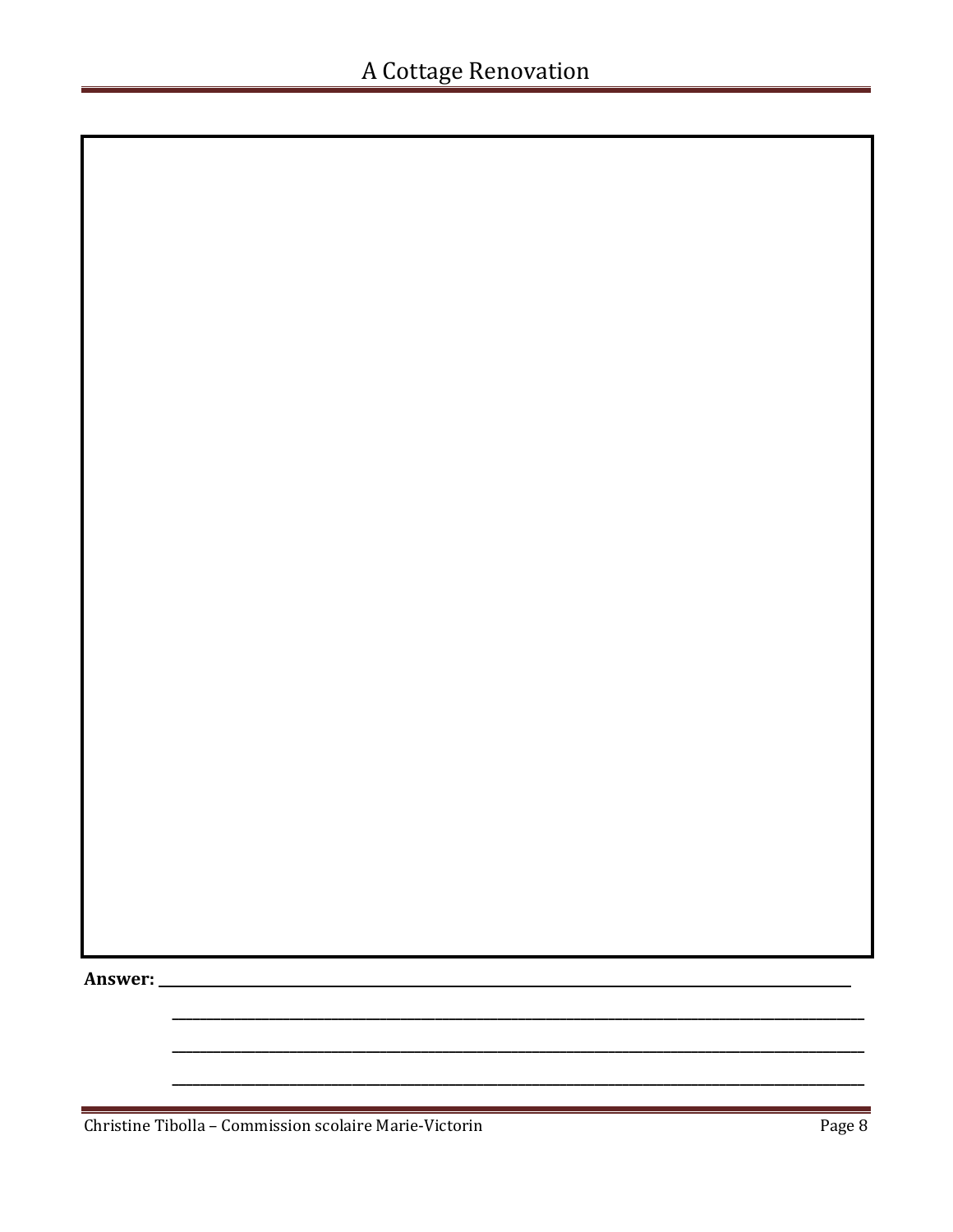Answer: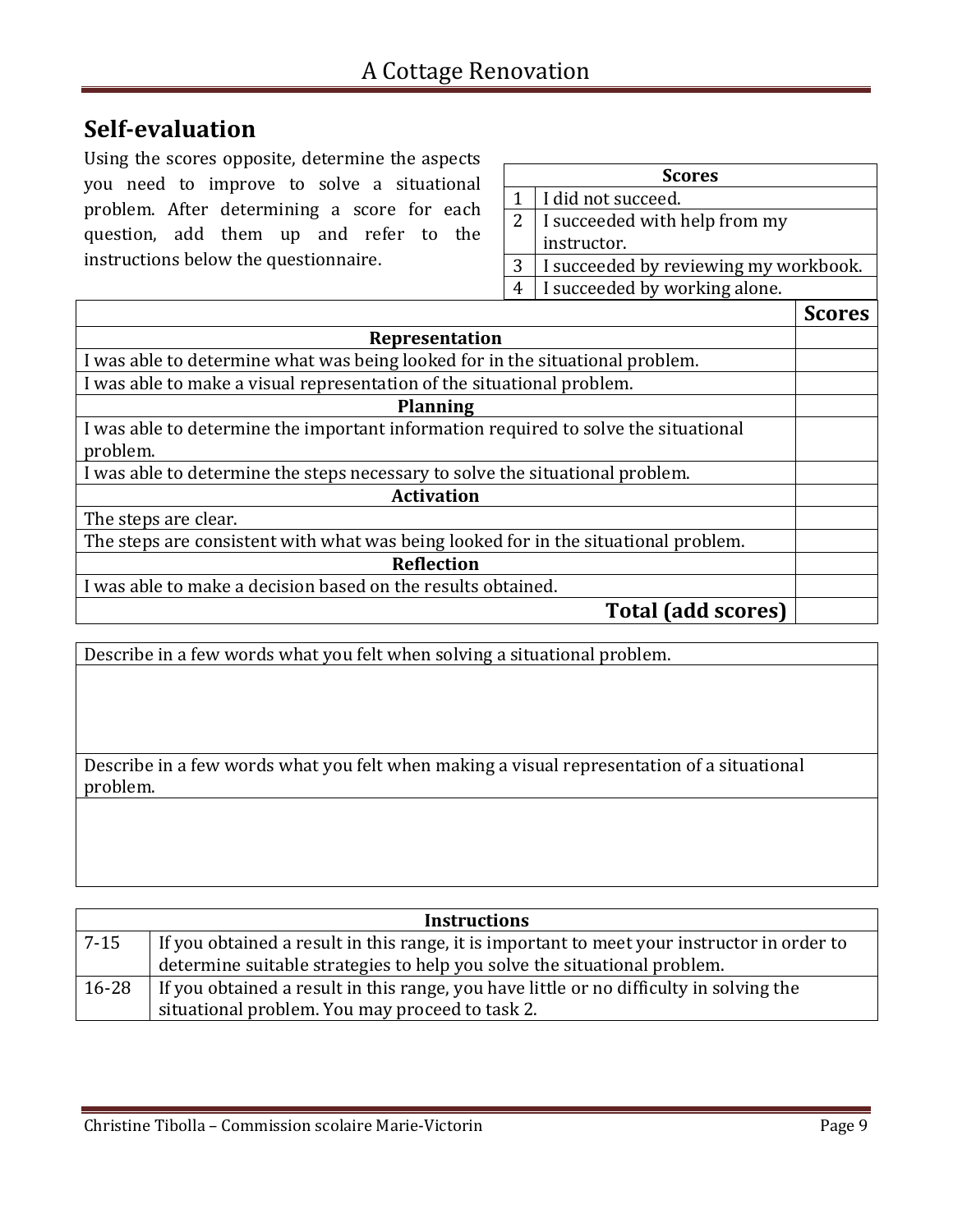# **Self-evaluation**

Using the scores opposite, determine the aspects you need to improve to solve a situational problem. After determining a score for each question, add them up and refer to the instructions below the questionnaire.

| <b>Scores</b> |                                       |  |
|---------------|---------------------------------------|--|
|               | I did not succeed.                    |  |
| 2             | I succeeded with help from my         |  |
|               | instructor.                           |  |
| 3             | I succeeded by reviewing my workbook. |  |
| 4             | I succeeded by working alone.         |  |
|               |                                       |  |

|                                                                                     | <b>Scores</b> |
|-------------------------------------------------------------------------------------|---------------|
| Representation                                                                      |               |
| I was able to determine what was being looked for in the situational problem.       |               |
| I was able to make a visual representation of the situational problem.              |               |
| <b>Planning</b>                                                                     |               |
| I was able to determine the important information required to solve the situational |               |
| problem.                                                                            |               |
| I was able to determine the steps necessary to solve the situational problem.       |               |
| <b>Activation</b>                                                                   |               |
| The steps are clear.                                                                |               |
| The steps are consistent with what was being looked for in the situational problem. |               |
| <b>Reflection</b>                                                                   |               |
| I was able to make a decision based on the results obtained.                        |               |
| <b>Total (add scores)</b>                                                           |               |

Describe in a few words what you felt when solving a situational problem.

Describe in a few words what you felt when making a visual representation of a situational problem.

| <b>Instructions</b> |                                                                                             |  |
|---------------------|---------------------------------------------------------------------------------------------|--|
| $7 - 15$            | If you obtained a result in this range, it is important to meet your instructor in order to |  |
|                     | determine suitable strategies to help you solve the situational problem.                    |  |
| $16 - 28$           | If you obtained a result in this range, you have little or no difficulty in solving the     |  |
|                     | situational problem. You may proceed to task 2.                                             |  |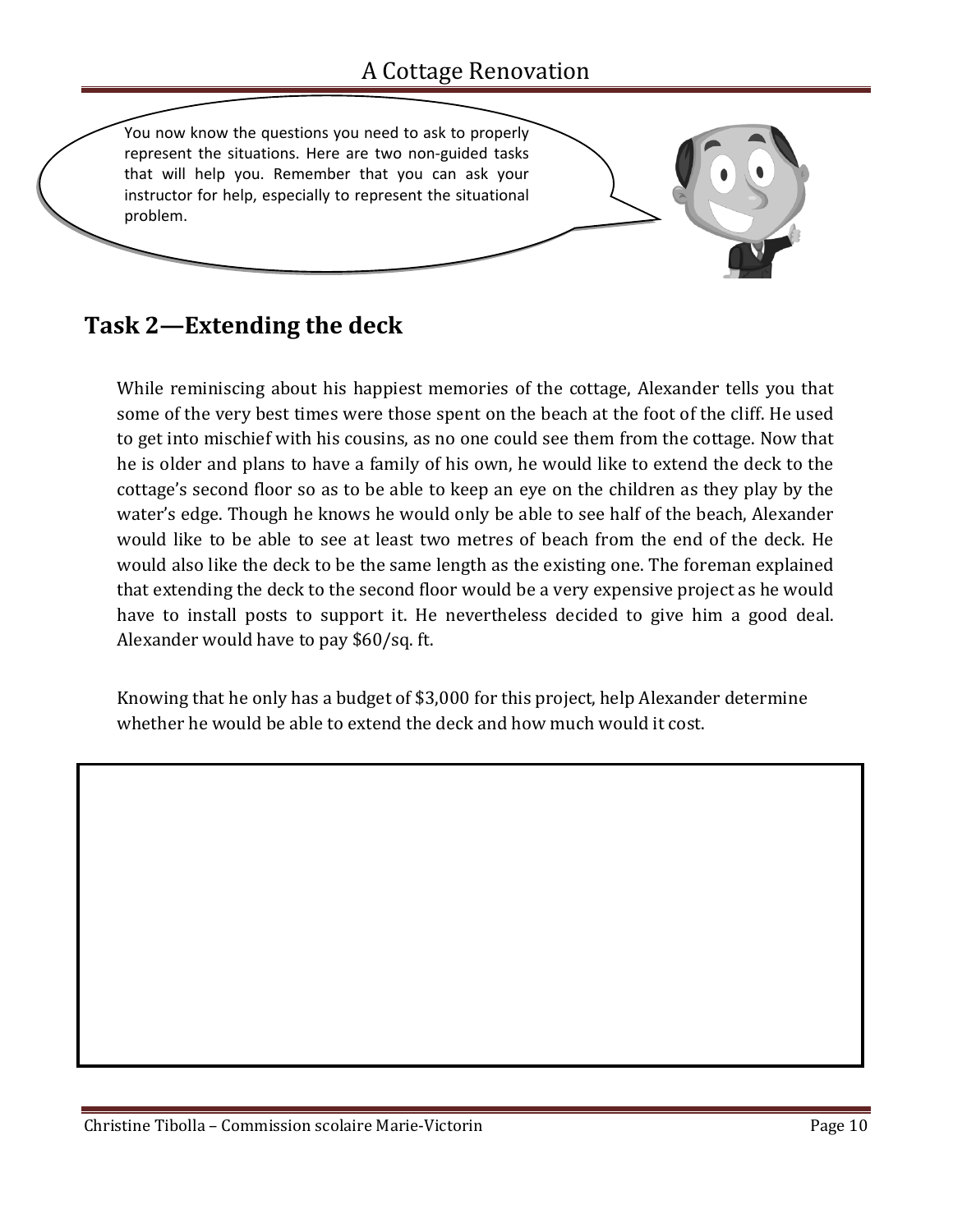

# **Task 2—Extending the deck**

While reminiscing about his happiest memories of the cottage, Alexander tells you that some of the very best times were those spent on the beach at the foot of the cliff. He used to get into mischief with his cousins, as no one could see them from the cottage. Now that he is older and plans to have a family of his own, he would like to extend the deck to the cottage's second floor so as to be able to keep an eye on the children as they play by the water's edge. Though he knows he would only be able to see half of the beach, Alexander would like to be able to see at least two metres of beach from the end of the deck. He would also like the deck to be the same length as the existing one. The foreman explained that extending the deck to the second floor would be a very expensive project as he would have to install posts to support it. He nevertheless decided to give him a good deal. Alexander would have to pay \$60/sq. ft.

Knowing that he only has a budget of \$3,000 for this project, help Alexander determine whether he would be able to extend the deck and how much would it cost.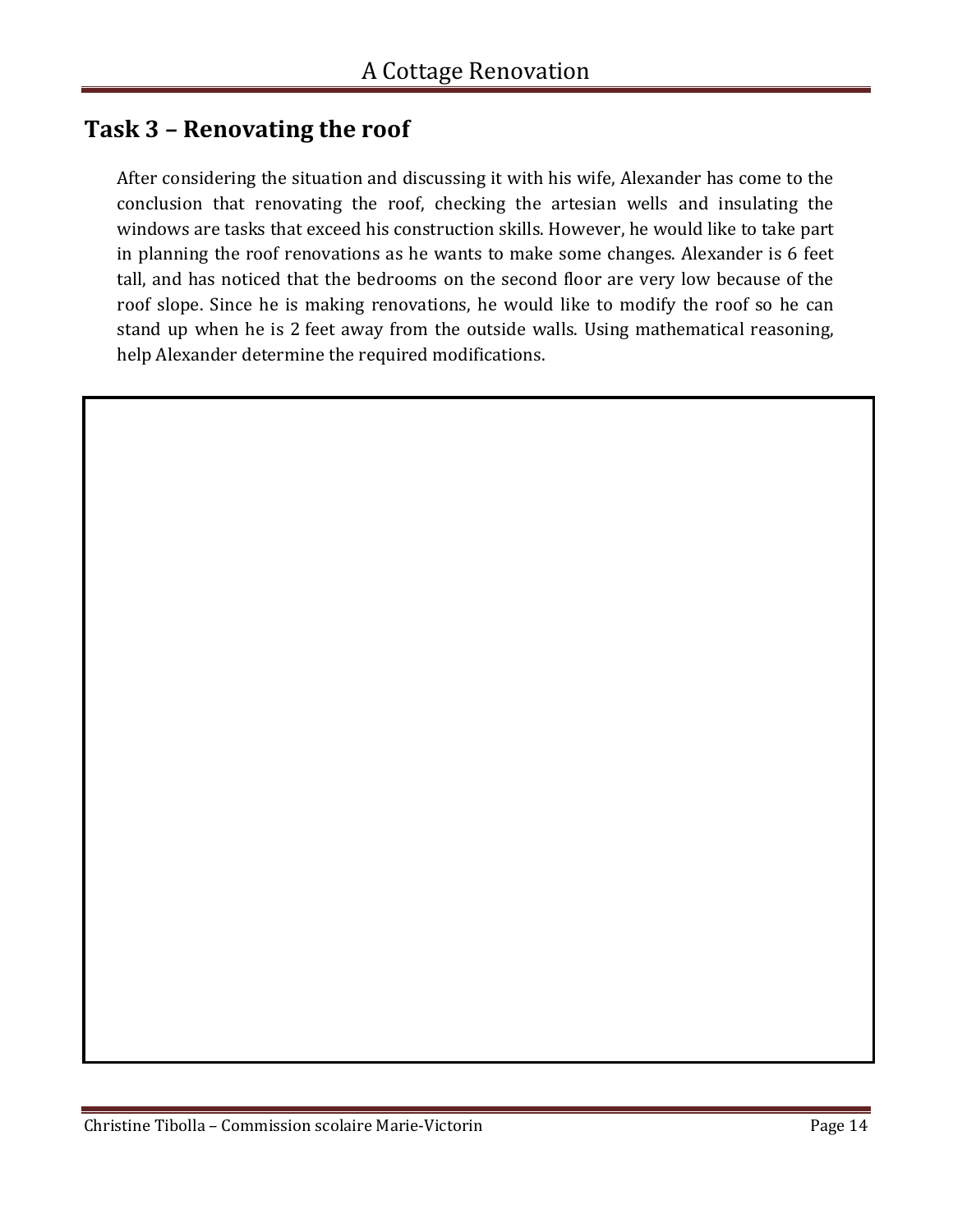### **Task 3 – Renovating the roof**

After considering the situation and discussing it with his wife, Alexander has come to the conclusion that renovating the roof, checking the artesian wells and insulating the windows are tasks that exceed his construction skills. However, he would like to take part in planning the roof renovations as he wants to make some changes. Alexander is 6 feet tall, and has noticed that the bedrooms on the second floor are very low because of the roof slope. Since he is making renovations, he would like to modify the roof so he can stand up when he is 2 feet away from the outside walls. Using mathematical reasoning, help Alexander determine the required modifications.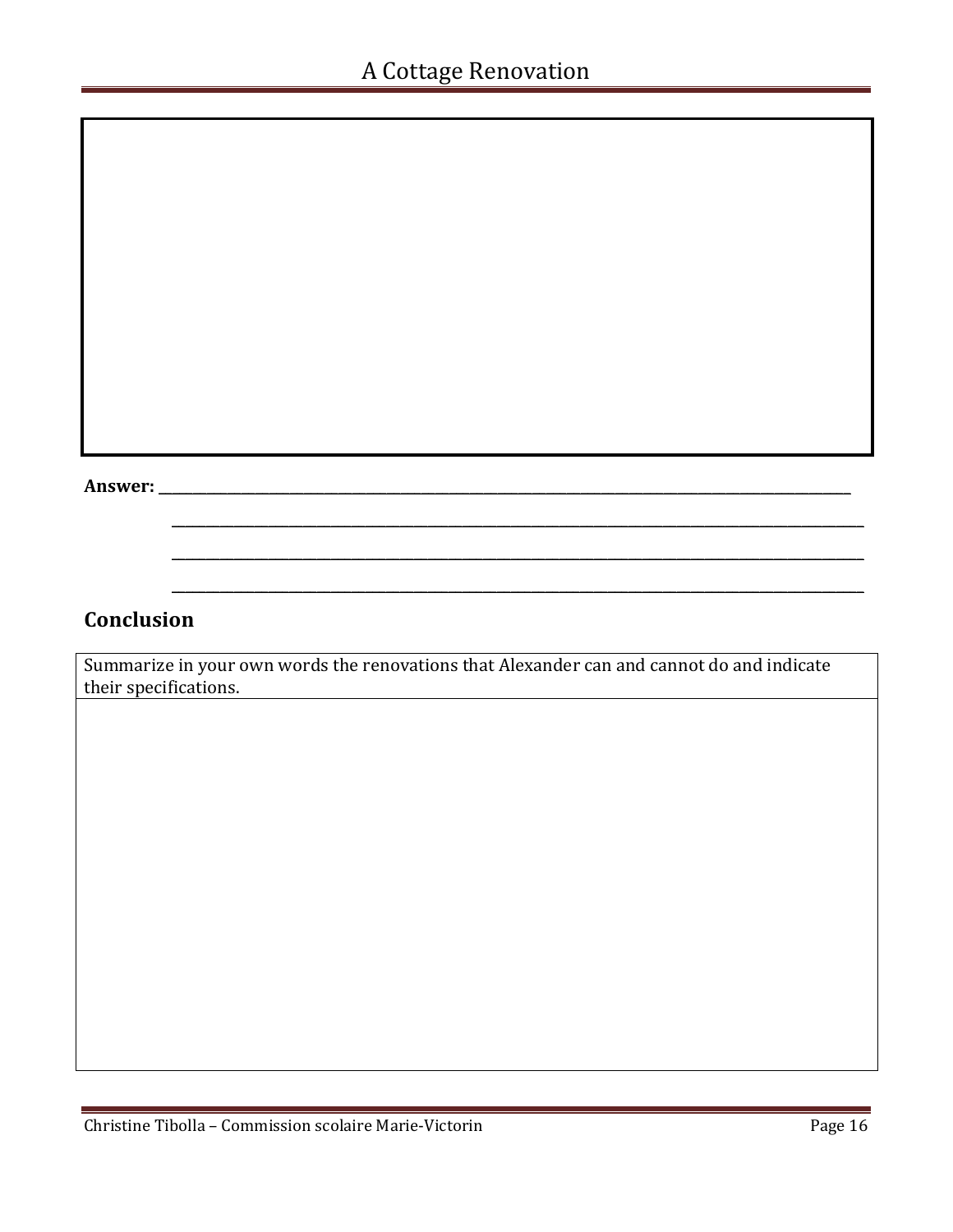#### **Answer:** \_\_\_\_\_\_\_\_\_\_\_\_\_\_\_\_\_\_\_\_\_\_\_\_\_\_\_\_\_\_\_\_\_\_\_\_\_\_\_\_\_\_\_\_\_\_\_\_\_\_\_\_\_\_\_\_\_\_\_\_\_\_\_\_\_\_\_\_\_\_\_\_\_\_\_\_\_\_\_\_\_\_\_\_\_\_\_\_\_\_\_\_\_\_\_\_\_\_\_\_

### **Conclusion**

Summarize in your own words the renovations that Alexander can and cannot do and indicate their specifications.

 $\overline{\phantom{a}}$  , and the contribution of the contribution of the contribution of the contribution of the contribution of the contribution of the contribution of the contribution of the contribution of the contribution of the

 $\mathcal{L} = \{ \mathcal{L} = \{ \mathcal{L} = \{ \mathcal{L} = \mathcal{L} \} \mid \mathcal{L} = \{ \mathcal{L} = \{ \mathcal{L} = \mathcal{L} \} \mid \mathcal{L} = \{ \mathcal{L} = \{ \mathcal{L} = \mathcal{L} = \mathcal{L} \} \mid \mathcal{L} = \{ \mathcal{L} = \{ \mathcal{L} = \mathcal{L} = \mathcal{L} = \mathcal{L} \} \mid \mathcal{L} = \{ \mathcal{L} = \{ \mathcal{L} = \{ \mathcal{L} = \mathcal{L} = \mathcal{L} \} \$ 

 $\mathcal{L} = \{ \mathcal{L} = \{ \mathcal{L} = \mathcal{L} \} \cup \{ \mathcal{L} = \{ \mathcal{L} = \mathcal{L} \} \cup \{ \mathcal{L} = \{ \mathcal{L} = \mathcal{L} \} \cup \{ \mathcal{L} = \{ \mathcal{L} = \mathcal{L} \} \cup \{ \mathcal{L} = \{ \mathcal{L} = \mathcal{L} \} \cup \{ \mathcal{L} = \{ \mathcal{L} = \mathcal{L} \} \cup \{ \mathcal{L} = \{ \mathcal{L} = \mathcal{L} \} \cup \{ \mathcal{L} = \{ \mathcal{L}$